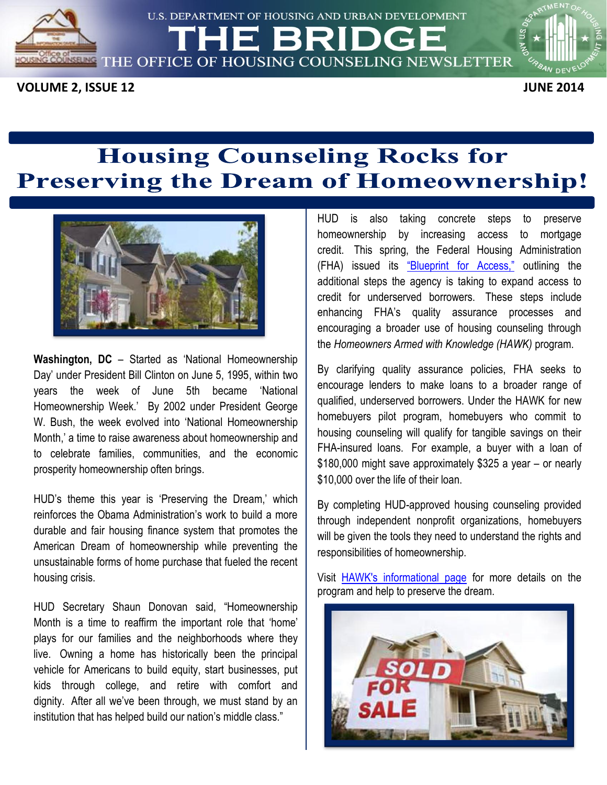

U.S. DEPARTMENT OF HOUSING AND URBAN DEVELOPMENT

'HE BRII

**SEE THE OFFICE OF HOUSING COUNSELING NEWSLETTER** 

**VOLUME 2, ISSUE 12** JUNE 2014

# **Housing Counseling Rocks for Preserving the Dream of Homeownership!**



 **Washington, DC** – Started as 'National Homeownership Day' under President Bill Clinton on June 5, 1995, within two years the week of June 5th became 'National Homeownership Week.' By 2002 under President George W. Bush, the week evolved into 'National Homeownership Month,' a time to raise awareness about homeownership and to celebrate families, communities, and the economic prosperity homeownership often brings.

 HUD's theme this year is 'Preserving the Dream,' which reinforces the Obama Administration's work to build a more durable and fair housing finance system that promotes the American Dream of homeownership while preventing the unsustainable forms of home purchase that fueled the recent housing crisis.

housing crisis.<br>HUD Secretary Shaun Donovan said, "Homeownership Month is a time to reaffirm the important role that 'home' plays for our families and the neighborhoods where they live. Owning a home has historically been the principal vehicle for Americans to build equity, start businesses, put kids through college, and retire with comfort and dignity. After all we've been through, we must stand by an

**Federal Housing Administration**<br> **Federal Housing Administration** HUD is also taking homeownership by increasing access to mortgage (FHA) issued its <u>"Blueprint for Access,"</u> outlining the additional steps the agency is taking to expand access to credit for underserved borrowers. These steps include enhancing FHA's quality assurance processes and encouraging a broader use of housing counseling through the Homeowners Armed with Knowledge (HAWK) program. the *Homeowners Armed with Knowledge (HAWK)* program.<br>By clarifying quality assurance policies, FHA seeks to into the excellence of the method of the recent intervention of the recent Hubble Class."<br>
Washington, DC – Started as National Homeowereship a brack is alleged intervention of the form of the form of the method and the me

 encourage lenders to make loans to a broader range of homebuyers pilot program, homebuyers who commit to housing counseling will qualify for tangible savings on their FHA-insured loans. For example, a buyer with a loan of \$180,000 might save approximately \$325 a year – or nearly \$10,000 over the life of their loan. qualified, underserved borrowers. Under the HAWK for new

\$10,000 over the life of their loan.<br>By completing HUD-approved housing counseling provided will be given the tools they need to understand the rights and through independent nonprofit organizations, homebuyers responsibilities of homeownership.

Visit **HAWK's informational page** for more details on the program and help to preserve the dream.

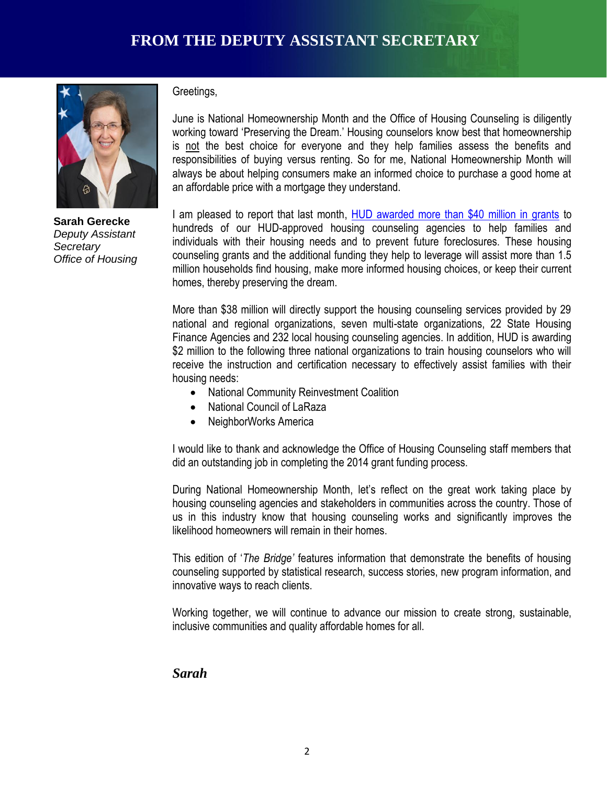

 **Sarah Gerecke**   *Office of Housing Deputy Assistant Secretary* 

#### Greetings,

 June is National Homeownership Month and the Office of Housing Counseling is diligently working toward 'Preserving the Dream.' Housing counselors know best that homeownership is not the best choice for everyone and they help families assess the benefits and responsibilities of buying versus renting. So for me, National Homeownership Month will always be about helping consumers make an informed choice to purchase a good home at an affordable price with a mortgage they understand.

I am pleased to report that last month, [HUD awarded more than \\$40 million in grants](http://portal.hud.gov/hudportal/HUD?src=/press/press_releases_media_advisories/2014/HUDNo_14-053) to hundreds of our HUD-approved housing counseling agencies to help families and individuals with their housing needs and to prevent future foreclosures. These housing counseling grants and the additional funding they help to leverage will assist more than 1.5 million households find housing, make more informed housing choices, or keep their current homes, thereby preserving the dream.

 More than \$38 million will directly support the housing counseling services provided by 29 national and regional organizations, seven multi-state organizations, 22 State Housing Finance Agencies and 232 local housing counseling agencies. In addition, HUD is awarding \$2 million to the following three national organizations to train housing counselors who will receive the instruction and certification necessary to effectively assist families with their housing needs:

- **CHAMPIONS OF SERVICE 2018**<br> **CHAMPION AMPION COMMUNITY Reinvestment Coalition** 
	- National Council of LaRaza
	- NeighborWorks America

 I would like to thank and acknowledge the Office of Housing Counseling staff members that did an outstanding job in completing the 2014 grant funding process.

 During National Homeownership Month, let's reflect on the great work taking place by housing counseling agencies and stakeholders in communities across the country. Those of us in this industry know that housing counseling works and significantly improves the likelihood homeowners will remain in their homes.

likelihood homeowners will remain in their homes.<br>This edition of *'The Bridge'* features information that demonstrate the benefits of housing counseling supported by statistical research, success stories, new program information, and innovative ways to reach clients.

 Working together, we will continue to advance our mission to create strong, sustainable, inclusive communities and quality affordable homes for all.

#### *Sarah*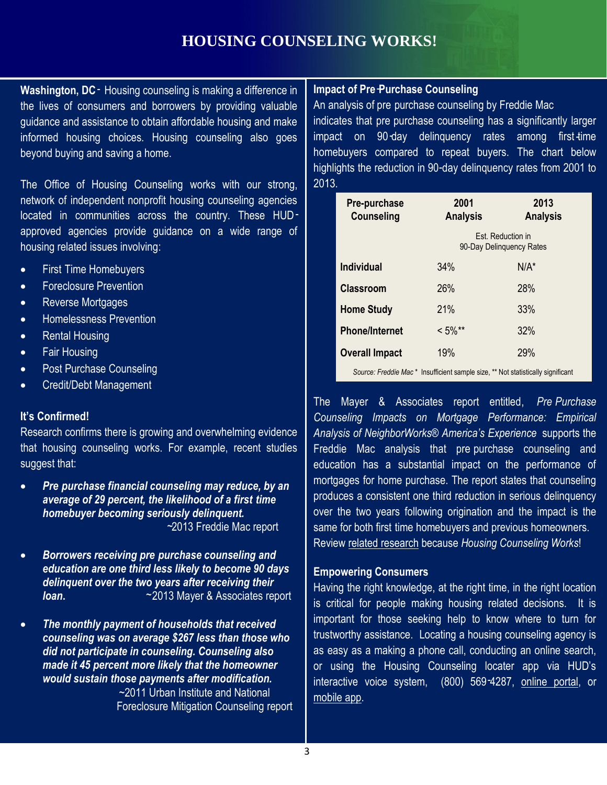### **HOUSING COUNSELING WORKS!**

**Washington, DC** - Housing counseling is making a difference in the lives of consumers and borrowers by providing valuable guidance and assistance to obtain affordable housing and make informed housing choices. Housing counseling also goes beyond buying and saving a home.

 The Office of Housing Counseling works with our strong, network of independent nonprofit housing counseling agencies approved agencies provide guidance on a wide range of located in communities across the country. These HUDhousing related issues involving:

- First Time Homebuyers
- **•** Foreclosure Prevention
- Reverse Mortgages
- **•** Homelessness Prevention
- Rental Housing
- Fair Housing
- Post Purchase Counseling
- Credit/Debt Management

#### **It's Confirmed!**

 Research confirms there is growing and overwhelming evidence that housing counseling works. For example, recent studies suggest that:

- *homebuyer becoming seriously delinquent. Pre purchase financial counseling may reduce, by an* average of 29 percent, the likelihood of a first time ~ 2013 Freddie Mac report ~
- loan. **Borrowers receiving pre purchase counseling and** *education are one third less likely to become 90 days delinquent over the two years after receiving their* **loan.**  $\sim$  2013 Mayer & Associates report
- *would sustain those payments after modification. The monthly payment of households that received counseling was on average \$267 less than those who did not participate in counseling. Counseling also made it 45 percent more likely that the homeowner* ~2011 Urban Institute and National Foreclosure Mitigation Counseling report

#### **Impact of Pre-Purchase Counseling**

indicates that pre purchase counseling has a significantly larger impact on 90-day delinquency rates among first-time homebuyers compared to repeat buyers. The chart below highlights the reduction in 90-day delinquency rates from 2001 to An analysis of pre purchase counseling by Freddie Mac 2013.

| Pre-purchase<br><b>Counseling</b> | 2001<br><b>Analysis</b>                       | 2013<br><b>Analysis</b> |
|-----------------------------------|-----------------------------------------------|-------------------------|
|                                   | Est. Reduction in<br>90-Day Delinguency Rates |                         |
| <b>Individual</b>                 | 34%                                           | $N/A^*$                 |
| <b>Classroom</b>                  | 26%                                           | 28%                     |
| <b>Home Study</b>                 | 21%                                           | 33%                     |
| <b>Phone/Internet</b>             | $< 5\%$ **                                    | 32%                     |
| <b>Overall Impact</b>             | 19%                                           | 29%                     |

 *Source: Freddie Mac* \* Insufficient sample size, \*\* Not statistically significant

**CHAMPIONS OF SERVICE** The Mayer & Associates report entitled, '*Pre -Purchase Counseling Impacts on Mortgage Performance: Empirical*  Analysis of NeighborWorks® America's Experience supports the Freddie Mac analysis that pre-purchase counseling and education has a substantial impact on the performance of produces a consistent one third reduction in serious delinquency over the two years following origination and the impact is the Review [related research](http://portal.hud.gov/hudportal/documents/huddoc?id=counselingworks060412.pdf) because *Housing Counseling Works*! mortgages for home purchase. The report states that counseling same for both first time homebuyers and previous homeowners.

#### **Empowering Consumers**

 Having the right knowledge, at the right time, in the right location is critical for people making housing related decisions. It is important for those seeking help to know where to turn for trustworthy assistance. Locating a housing counseling agency is as easy as a making a phone call, conducting an online search, or using the Housing Counseling locater app via HUD's interactive voice system, (800) 569-4287, [online portal,](http://www.hud.gov/offices/hsg/sfh/hcc/hcs.cfm) or [mobile app.](https://itunes.apple.com/us/app/hud-counselor-locator/id659590295?ls=1&mt=8)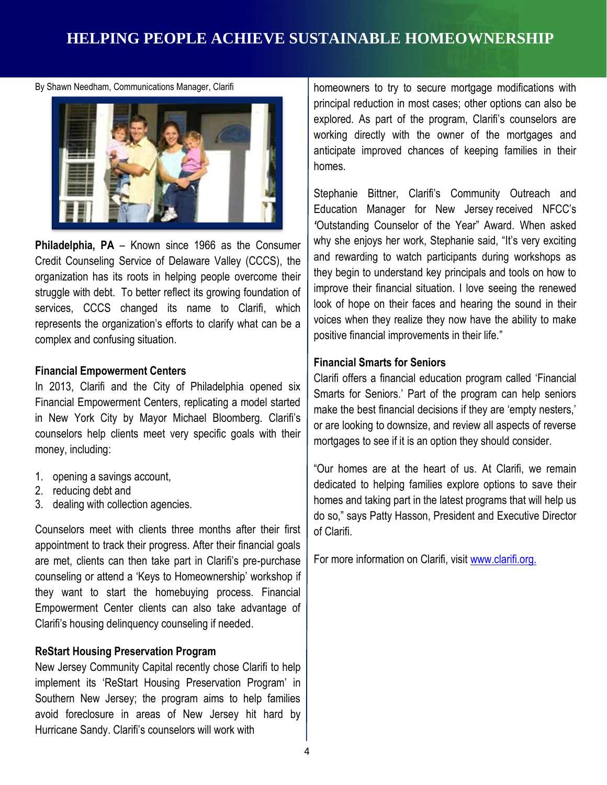### **HELPING PEOPLE ACHIEVE SUSTAINABLE HOMEOWNERSHIP**

By Shawn Needham, Communications Manager, Clarifi



 **Philadelphia, PA** – Known since 1966 as the Consumer Credit Counseling Service of Delaware Valley (CCCS), the organization has its roots in helping people overcome their struggle with debt. To better reflect its growing foundation of services, CCCS changed its name to Clarifi, which represents the organization's efforts to clarify what can be a complex and confusing situation.

#### **Financial Empowerment Centers**

In 2013, Clarifi and the City of Philadelphia opened six **Sharehoff Community** Smarts for Seniors.' Part Financial Empowerment Centers, replicating a model started counselors help clients meet very specific goals with their in New York City by Mayor Michael Bloomberg. Clarifi's money, including:

- 1. opening a savings account,
- 2. reducing debt and
- 1. opening a savings account,<br>2. reducing debt and<br>3. dealing with collection agencies.

 Counselors meet with clients three months after their first appointment to track their progress. After their financial goals are met, clients can then take part in Clarifi's pre-purchase counseling or attend a 'Keys to Homeownership' workshop if they want to start the homebuying process. Financial Empowerment Center clients can also take advantage of Clarifi's housing delinquency counseling if needed.

#### **ReStart Housing Preservation Program**

 New Jersey Community Capital recently chose Clarifi to help implement its 'ReStart Housing Preservation Program' in Southern New Jersey; the program aims to help families Hurricane Sandy. Clarifi's counselors will work with avoid foreclosure in areas of New Jersey hit hard by homeowners to try to secure mortgage modifications with principal reduction in most cases; other options can also be working directly with the owner of the mortgages and anticipate improved chances of keeping families in their explored. As part of the program, Clarifi's counselors are homes.

 Stephanie Bittner, Clarifi's Community Outreach and Education Manager for New Jersey received NFCC's *'*Outstanding Counselor of the Year" Award. When asked why she enjoys her work, Stephanie said, "It's very exciting and rewarding to watch participants during workshops as they begin to understand key principals and tools on how to improve their financial situation. I love seeing the renewed look of hope on their faces and hearing the sound in their voices when they realize they now have the ability to make Hurricane Sandy Monitos (will be the more proposed to tree in the popular clarifications will are the popular counsels are not transfer and the popular counsels with the counsel are the popular counsel and the counsel are positive financial improvements in their life."

#### **Financial Smarts for Seniors**

 Clarifi offers a financial education program called 'Financial Smarts for Seniors.' Part of the program can help seniors make the best financial decisions if they are 'empty nesters,' or are looking to downsize, and review all aspects of reverse mortgages to see if it is an option they should consider.

 dedicated to helping families explore options to save their do so," says Patty Hasson, President and Executive Director "Our homes are at the heart of us. At Clarifi, we remain homes and taking part in the latest programs that will help us of Clarifi.

For more information on Clarifi, visit [www.clarifi.org.](http://www.clarifi.org/)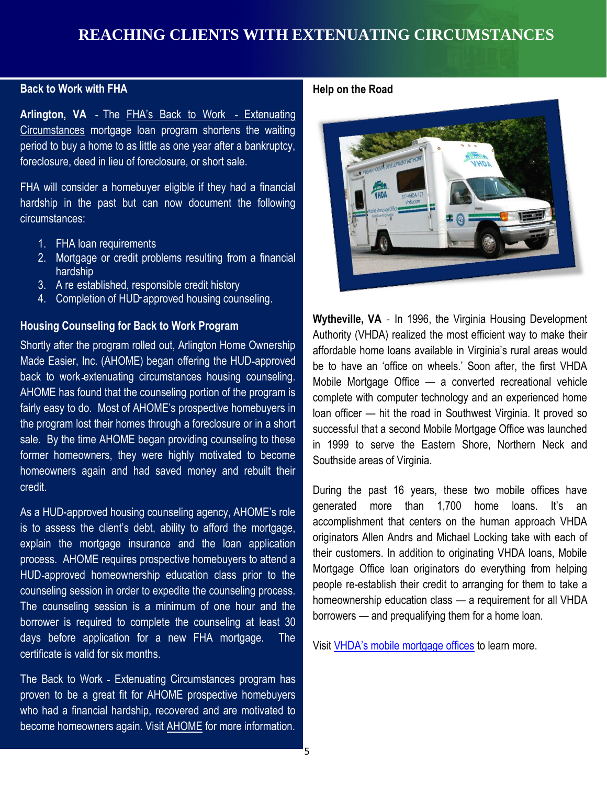### **Back to Work with FHA**

Arlington, VA - The **FHA's Back to Work - Extenuating** [Circumstances](http://portal.hud.gov/hudportal/documents/huddoc?id=13-22hsgn.pdf) mortgage loan program shortens the waiting period to buy a home to as little as one year after a bankruptcy, foreclosure, deed in lieu of foreclosure, or short sale.

 FHA will consider a homebuyer eligible if they had a financial hardship in the past but can now document the following circumstances:

- 1. FHA loan requirements
- 2. Mortgage or credit problems resulting from a financial hardship
- 3. A re established, responsible credit history
- 4. Completion of HUD approved housing counseling.

#### **Housing Counseling for Back to Work Program**

**CHAMPIONS OF SERVICE SERVICES** CONSIDER THE MODILE INDITIONS CONSIDERED AT A SERVICE SERVICE SERVICE SERVICE SERVICE SERVICE SERVICE SERVICE SERVICE SERVICE SERVICE SERVICE SERVICE SERVICE SERVICE SERVICE SERVICE SERVICE Shortly after the program rolled out, Arlington Home Ownership Made Easier, Inc. (AHOME) began offering the HUD-approved back to work-extenuating circumstances housing counseling. fairly easy to do. Most of AHOME's prospective homebuyers in the program lost their homes through a foreclosure or in a short sale. By the time AHOME began providing counseling to these former homeowners, they were highly motivated to become homeowners again and had saved money and rebuilt their credit.

 is to assess the client's debt, ability to afford the mortgage, explain the mortgage insurance and the loan application process. AHOME requires prospective homebuyers to attend a HUD-approved homeownership education class prior to the counseling session in order to expedite the counseling process. The counseling session is a minimum of one hour and the borrower is required to complete the counseling at least 30 days before application for a new FHA mortgage. The As a HUD-approved housing counseling agency, AHOME's role certificate is valid for six months.

 The Back to Work - Extenuating Circumstances program has - proven to be a great fit for AHOME prospective homebuyers who had a financial hardship, recovered and are motivated to become homeowners again. Visit [AHOME](http://www.ahomeinc.org/) for more information.

#### **Help on the Road**



 **Wytheville, VA** - In 1996, the Virginia Housing Development Authority (VHDA) realized the most efficient way to make their be to have an 'office on wheels.' Soon after, the first VHDA Mobile Mortgage Office — a converted recreational vehicle complete with computer technology and an experienced home loan officer — hit the road in Southwest Virginia. It proved so successful that a second Mobile Mortgage Office was launched in 1999 to serve the Eastern Shore, Northern Neck and affordable home loans available in Virginia's rural areas would Southside areas of Virginia.

 During the past 16 years, these two mobile offices have generated more than 1,700 home loans. It's an accomplishment that centers on the human approach VHDA originators Allen Andrs and Michael Locking take with each of their customers. In addition to originating VHDA loans, Mobile Mortgage Office loan originators do everything from helping people re-establish their credit to arranging for them to take a homeownership education class — a requirement for all VHDA borrowers — and prequalifying them for a home loan.

Visit [VHDA's mobile mortgage offices](http://www.vhda.com/HOMEBUYERS/MOBILEMORTGAGEOFFICES/Pages/MobileOffice.aspx#.U6a6wigWBqI) to learn more.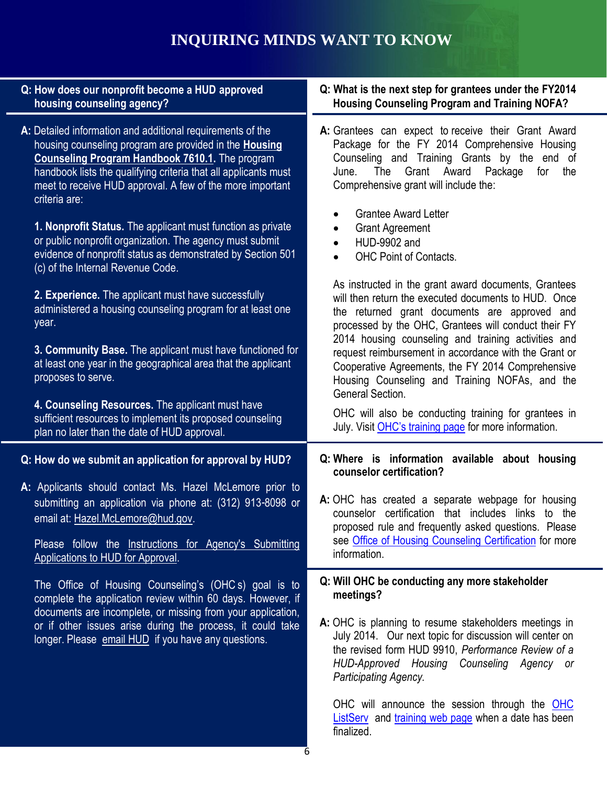## **INQUIRING MINDS WANT TO KNOW**

| Q: How does our nonprofit become a HUD approved<br>housing counseling agency?                                                                                                                                                                                                                                                          | Q: What is the next step for grantees under the FY2014<br><b>Housing Counseling Program and Training NOFA?</b>                                                                                                                                     |
|----------------------------------------------------------------------------------------------------------------------------------------------------------------------------------------------------------------------------------------------------------------------------------------------------------------------------------------|----------------------------------------------------------------------------------------------------------------------------------------------------------------------------------------------------------------------------------------------------|
| A: Detailed information and additional requirements of the<br>housing counseling program are provided in the <b>Housing</b><br><b>Counseling Program Handbook 7610.1.</b> The program<br>handbook lists the qualifying criteria that all applicants must<br>meet to receive HUD approval. A few of the more important<br>criteria are: | A: Grantees can expect to receive their Grant Award<br>Package for the FY 2014 Comprehensive Housing<br>Counseling and Training Grants by the end of<br>The<br>Grant Award<br>Package<br>June.<br>for the<br>Comprehensive grant will include the: |
| 1. Nonprofit Status. The applicant must function as private<br>or public nonprofit organization. The agency must submit<br>evidence of nonprofit status as demonstrated by Section 501<br>(c) of the Internal Revenue Code.                                                                                                            | <b>Grantee Award Letter</b><br>$\bullet$<br><b>Grant Agreement</b><br>$\bullet$<br><b>HUD-9902 and</b><br>$\bullet$<br><b>OHC Point of Contacts.</b><br>$\bullet$                                                                                  |
| 2. Experience. The applicant must have successfully<br>administered a housing counseling program for at least one<br>year.                                                                                                                                                                                                             | As instructed in the grant award documents, Grantees<br>will then return the executed documents to HUD. Once<br>the returned grant documents are approved and<br>processed by the OHC, Grantees will conduct their FY                              |
| 3. Community Base. The applicant must have functioned for<br>at least one year in the geographical area that the applicant<br>proposes to serve.                                                                                                                                                                                       | 2014 housing counseling and training activities and<br>request reimbursement in accordance with the Grant or<br>Cooperative Agreements, the FY 2014 Comprehensive<br>Housing Counseling and Training NOFAs, and the<br>General Section.            |
| 4. Counseling Resources. The applicant must have<br>sufficient resources to implement its proposed counseling<br>plan no later than the date of HUD approval.                                                                                                                                                                          | OHC will also be conducting training for grantees in<br>July. Visit OHC's training page for more information.                                                                                                                                      |
| Q: How do we submit an application for approval by HUD?                                                                                                                                                                                                                                                                                | Q: Where is information available about housing<br>counselor certification?                                                                                                                                                                        |
| A: Applicants should contact Ms. Hazel McLemore prior to<br>submitting an application via phone at: (312) 913-8098 or<br>email at: Hazel.McLemore@hud.gov.<br>Please follow the Instructions for Agency's Submitting<br>Applications to HUD for Approval.                                                                              | A: OHC has created a separate webpage for housing<br>counselor certification that includes links to the<br>proposed rule and frequently asked questions. Please<br>see Office of Housing Counseling Certification for more<br>information.         |
| The Office of Housing Counseling's (OHCs) goal is to<br>complete the application review within 60 days. However, if                                                                                                                                                                                                                    | Q: Will OHC be conducting any more stakeholder<br>meetings?                                                                                                                                                                                        |
| documents are incomplete, or missing from your application,<br>or if other issues arise during the process, it could take<br>longer. Please email HUD if you have any questions.                                                                                                                                                       | A: OHC is planning to resume stakeholders meetings in<br>July 2014. Our next topic for discussion will center on<br>the revised form HUD 9910, Performance Review of a<br>HUD-Approved Housing Counseling Agency or<br>Participating Agency.       |
|                                                                                                                                                                                                                                                                                                                                        | OHC will announce the session through the OHC<br>ListServ and training web page when a date has been                                                                                                                                               |

finalized.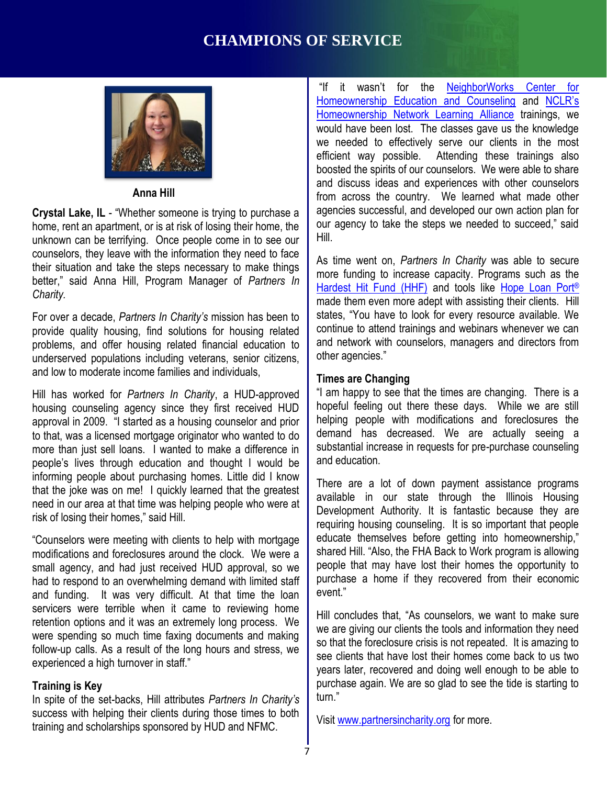### **CHAMPIONS OF SERVICE**



#### **Anna Hill**

 **Crystal Lake, IL** - "Whether someone is trying to purchase a unknown can be terrifying. Once people come in to see our counselors, they leave with the information they need to face their situation and take the steps necessary to make things better," said Anna Hill, Program Manager of *Partners In*  home, rent an apartment, or is at risk of losing their home, the *Charity.* 

 For over a decade, *Partners In Charity's* mission has been to provide quality housing, find solutions for housing related problems, and offer housing related financial education to and low to moderate income families and individuals. underserved populations including veterans, senior citizens,

and low to moderate income families and individuals,<br>Hill has worked for *Partners In Charity*, a HUD-approved | "I am happy to see that tl housing counseling agency since they first received HUD approval in 2009. "I started as a housing counselor and prior to that, was a licensed mortgage originator who wanted to do more than just sell loans. I wanted to make a difference in people's lives through education and thought I would be informing people about purchasing homes. Little did I know that the joke was on me! I quickly learned that the greatest need in our area at that time was helping people who were at risk of losing their homes," said Hill.

 "Counselors were meeting with clients to help with mortgage modifications and foreclosures around the clock. We were a small agency, and had just received HUD approval, so we had to respond to an overwhelming demand with limited staff and funding. It was very difficult. At that time the loan servicers were terrible when it came to reviewing home retention options and it was an extremely long process. We were spending so much time faxing documents and making follow-up calls. As a result of the long hours and stress, we experienced a high turnover in staff."

#### **Training is Key**

 In spite of the set-backs, Hill attributes *Partners In Charity's*  success with helping their clients during those times to both training and scholarships sponsored by HUD and NFMC.

"If it wasn't for the **NeighborWorks Center for** [Homeownership Education and Counseling](http://www.nw.org/network/training/homeownership/default.asp) and NCLR's [Homeownership Network Learning Alliance](https://www.nhnla.org/index.cfm) trainings, we would have been lost. The classes gave us the knowledge we needed to effectively serve our clients in the most efficient way possible. Attending these trainings also boosted the spirits of our counselors. We were able to share and discuss ideas and experiences with other counselors from across the country. We learned what made other agencies successful, and developed our own action plan for our agency to take the steps we needed to succeed," said Hill.

Hill.<br>As time went on, *Partners In Charity* was able to secure more funding to increase capacity. Programs such as the [Hardest Hit Fund \(HHF\)](http://www.treasury.gov/initiatives/financial-stability/TARP-Programs/housing/hhf/Pages/default.aspx) and tools like Hope Loan Port® made them even more adept with assisting their clients. Hill states, "You have to look for every resource available. We continue to attend trainings and webinars whenever we can and network with counselors, managers and directors from other agencies."

#### **Times are Changing**

 "I am happy to see that the times are changing. There is a hopeful feeling out there these days. While we are still helping people with modifications and foreclosures the demand has decreased. We are actually seeing a substantial increase in requests for pre-purchase counseling and education.

 There are a lot of down payment assistance programs available in our state through the Illinois Housing Development Authority. It is fantastic because they are requiring housing counseling. It is so important that people educate themselves before getting into homeownership," shared Hill. "Also, the FHA Back to Work program is allowing people that may have lost their homes the opportunity to purchase a home if they recovered from their economic event"

 Hill concludes that, "As counselors, we want to make sure we are giving our clients the tools and information they need so that the foreclosure crisis is not repeated. It is amazing to see clients that have lost their homes come back to us two years later, recovered and doing well enough to be able to purchase again. We are so glad to see the tide is starting to turn."

Visit [www.partnersincharity.org](http://www.partnersincharity.org/) for more.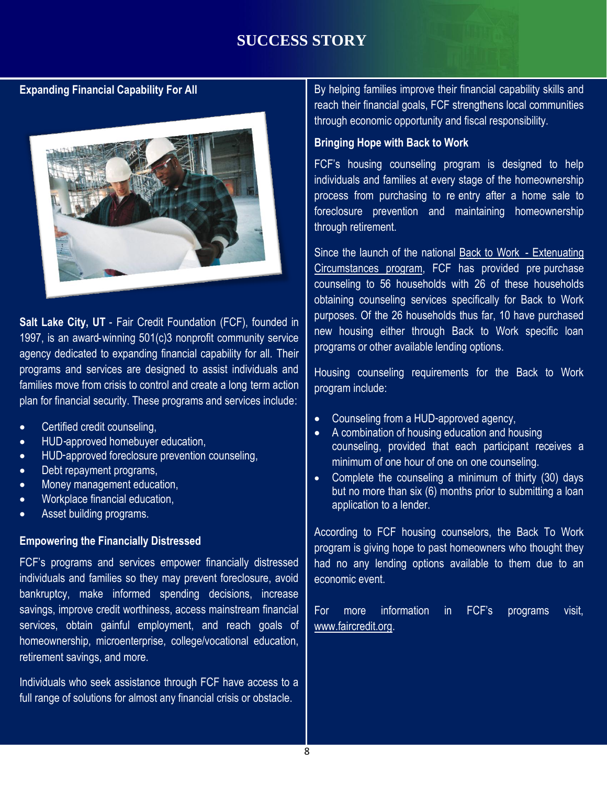### **SUCCESS STORY**

**Expanding Financial Capability For All** 



families move from crisis to control and create a long term action  $\vert$  program include:<br>plan for financial contribution these programs and convices include: Salt Lake City, UT - Fair Credit Foundation (FCF), founded in 1997, is an award-winning 501(c)3 nonprofit community service agency dedicated to expanding financial capability for all. Their programs and services are designed to assist individuals and plan for financial security. These programs and services include:

- Certified credit counseling,
- HUD-approved homebuyer education,
- HUD-approved foreclosure prevention counseling,
- Debt repayment programs,
- Money management education,
- Workplace financial education,
- Asset building programs.

#### **Empowering the Financially Distressed**

 individuals and families so they may prevent foreclosure, avoid bankruptcy, make informed spending decisions, increase savings, improve credit worthiness, access mainstream financial services, obtain gainful employment, and reach goals of retirement savings, and more. retirement savings, and more.<br>Individuals who seek assistance through FCF have access to a FCF's programs and services empower financially distressed homeownership, microenterprise, college/vocational education,

full range of solutions for almost any financial crisis or obstacle.

 By helping families improve their financial capability skills and reach their financial goals, FCF strengthens local communities through economic opportunity and fiscal responsibility.

#### **Bringing Hope with Back to Work**

 FCF's housing counseling program is designed to help individuals and families at every stage of the homeownership process from purchasing to re entry after a home sale to foreclosure prevention and maintaining homeownership through retirement.

Since the launch of the national [Back to Work](http://portal.hud.gov/hudportal/documents/huddoc?id=13-22hsgn.pdf) - Extenuating counseling to 56 households with 26 of these households obtaining counseling services specifically for Back to Work purposes. Of the 26 households thus far, 10 have purchased new housing either through Back to Work specific loan programs or other available lending options. [Circumstances program,](http://portal.hud.gov/hudportal/documents/huddoc?id=13-22hsgn.pdf) FCF has provided pre purchase

programs or other available lending options.<br>Housing counseling requirements for the Back to Work program include:

- Counseling from a HUD-approved agency,
- A combination of housing education and housing counseling, provided that each participant receives a minimum of one hour of one on one counseling.
- Complete the counseling a minimum of thirty (30) days but no more than six (6) months prior to submitting a loan application to a lender.

 According to FCF housing counselors, the Back To Work program is giving hope to past homeowners who thought they had no any lending options available to them due to an economic event.

For more information in FCF's programs visit, [www.faircredit.org.](http://www.faircredit.org/)